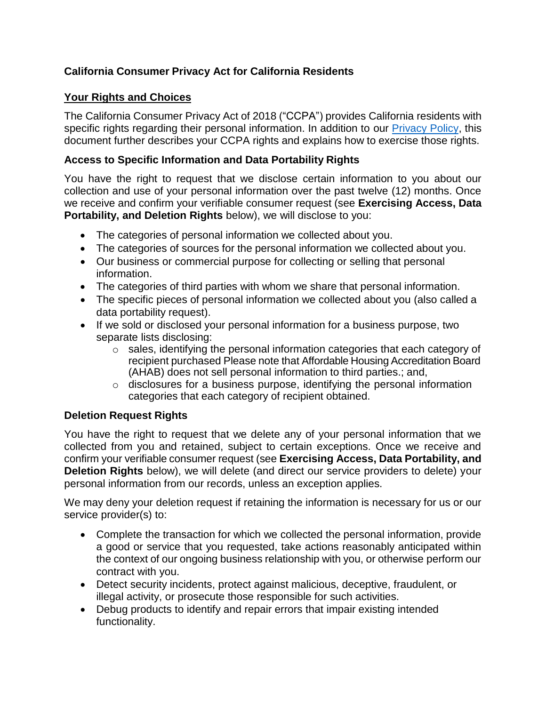# **California Consumer Privacy Act for California Residents**

## **Your Rights and Choices**

The California Consumer Privacy Act of 2018 ("CCPA") provides California residents with specific rights regarding their personal information. In addition to our [Privacy Policy,](https://housingaccreditation.org/privacy/) this document further describes your CCPA rights and explains how to exercise those rights.

### **Access to Specific Information and Data Portability Rights**

You have the right to request that we disclose certain information to you about our collection and use of your personal information over the past twelve (12) months. Once we receive and confirm your verifiable consumer request (see **Exercising Access, Data Portability, and Deletion Rights** below), we will disclose to you:

- The categories of personal information we collected about you.
- The categories of sources for the personal information we collected about you.
- Our business or commercial purpose for collecting or selling that personal information.
- The categories of third parties with whom we share that personal information.
- The specific pieces of personal information we collected about you (also called a data portability request).
- If we sold or disclosed your personal information for a business purpose, two separate lists disclosing:
	- o sales, identifying the personal information categories that each category of recipient purchased Please note that Affordable Housing Accreditation Board (AHAB) does not sell personal information to third parties.; and,
	- o disclosures for a business purpose, identifying the personal information categories that each category of recipient obtained.

## **Deletion Request Rights**

You have the right to request that we delete any of your personal information that we collected from you and retained, subject to certain exceptions. Once we receive and confirm your verifiable consumer request (see **Exercising Access, Data Portability, and Deletion Rights** below), we will delete (and direct our service providers to delete) your personal information from our records, unless an exception applies.

We may deny your deletion request if retaining the information is necessary for us or our service provider(s) to:

- Complete the transaction for which we collected the personal information, provide a good or service that you requested, take actions reasonably anticipated within the context of our ongoing business relationship with you, or otherwise perform our contract with you.
- Detect security incidents, protect against malicious, deceptive, fraudulent, or illegal activity, or prosecute those responsible for such activities.
- Debug products to identify and repair errors that impair existing intended functionality.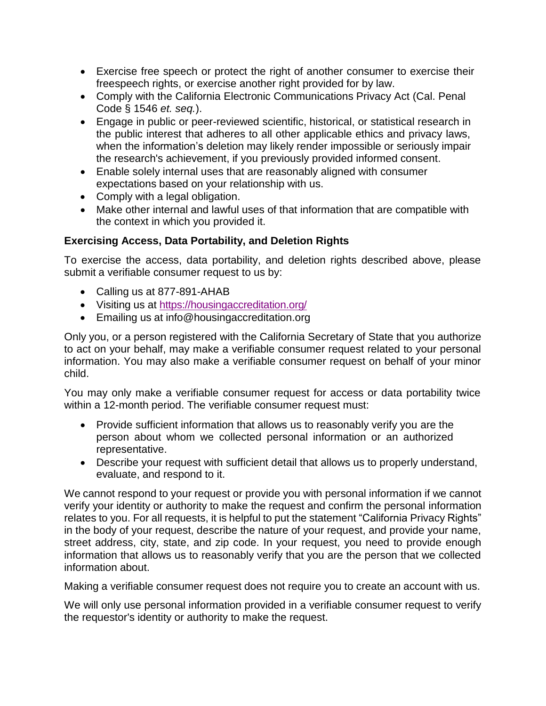- Exercise free speech or protect the right of another consumer to exercise their freespeech rights, or exercise another right provided for by law.
- Comply with the California Electronic Communications Privacy Act (Cal. Penal Code § 1546 *et. seq.*).
- Engage in public or peer-reviewed scientific, historical, or statistical research in the public interest that adheres to all other applicable ethics and privacy laws, when the information's deletion may likely render impossible or seriously impair the research's achievement, if you previously provided informed consent.
- Enable solely internal uses that are reasonably aligned with consumer expectations based on your relationship with us.
- Comply with a legal obligation.
- Make other internal and lawful uses of that information that are compatible with the context in which you provided it.

# **Exercising Access, Data Portability, and Deletion Rights**

To exercise the access, data portability, and deletion rights described above, please submit a verifiable consumer request to us by:

- Calling us at 877-891-AHAB
- Visiting us at <https://housingaccreditation.org/>
- Emailing us at info@housingaccreditation.org

Only you, or a person registered with the California Secretary of State that you authorize to act on your behalf, may make a verifiable consumer request related to your personal information. You may also make a verifiable consumer request on behalf of your minor child.

You may only make a verifiable consumer request for access or data portability twice within a 12-month period. The verifiable consumer request must:

- Provide sufficient information that allows us to reasonably verify you are the person about whom we collected personal information or an authorized representative.
- Describe your request with sufficient detail that allows us to properly understand, evaluate, and respond to it.

We cannot respond to your request or provide you with personal information if we cannot verify your identity or authority to make the request and confirm the personal information relates to you. For all requests, it is helpful to put the statement "California Privacy Rights" in the body of your request, describe the nature of your request, and provide your name, street address, city, state, and zip code. In your request, you need to provide enough information that allows us to reasonably verify that you are the person that we collected information about.

Making a verifiable consumer request does not require you to create an account with us.

We will only use personal information provided in a verifiable consumer request to verify the requestor's identity or authority to make the request.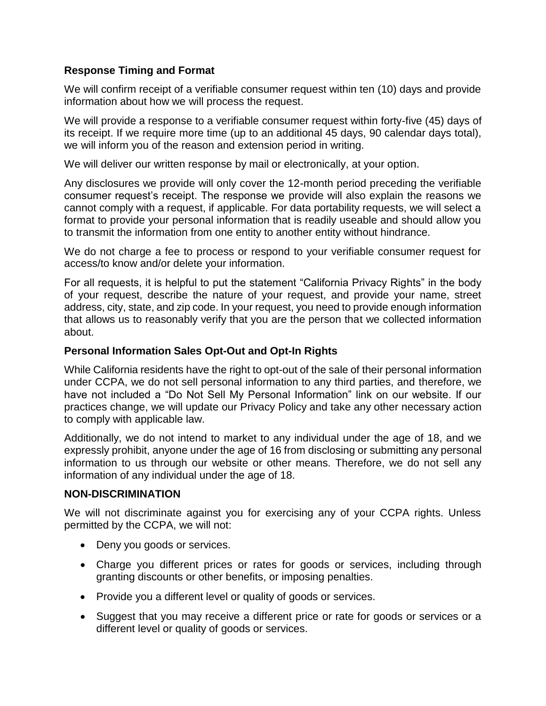## **Response Timing and Format**

We will confirm receipt of a verifiable consumer request within ten (10) days and provide information about how we will process the request.

We will provide a response to a verifiable consumer request within forty-five (45) days of its receipt. If we require more time (up to an additional 45 days, 90 calendar days total), we will inform you of the reason and extension period in writing.

We will deliver our written response by mail or electronically, at your option.

Any disclosures we provide will only cover the 12-month period preceding the verifiable consumer request's receipt. The response we provide will also explain the reasons we cannot comply with a request, if applicable. For data portability requests, we will select a format to provide your personal information that is readily useable and should allow you to transmit the information from one entity to another entity without hindrance.

We do not charge a fee to process or respond to your verifiable consumer request for access/to know and/or delete your information.

For all requests, it is helpful to put the statement "California Privacy Rights" in the body of your request, describe the nature of your request, and provide your name, street address, city, state, and zip code. In your request, you need to provide enough information that allows us to reasonably verify that you are the person that we collected information about.

#### **Personal Information Sales Opt-Out and Opt-In Rights**

While California residents have the right to opt-out of the sale of their personal information under CCPA, we do not sell personal information to any third parties, and therefore, we have not included a "Do Not Sell My Personal Information" link on our website. If our practices change, we will update our Privacy Policy and take any other necessary action to comply with applicable law.

Additionally, we do not intend to market to any individual under the age of 18, and we expressly prohibit, anyone under the age of 16 from disclosing or submitting any personal information to us through our website or other means. Therefore, we do not sell any information of any individual under the age of 18.

### **NON-DISCRIMINATION**

We will not discriminate against you for exercising any of your CCPA rights. Unless permitted by the CCPA, we will not:

- Deny you goods or services.
- Charge you different prices or rates for goods or services, including through granting discounts or other benefits, or imposing penalties.
- Provide you a different level or quality of goods or services.
- Suggest that you may receive a different price or rate for goods or services or a different level or quality of goods or services.